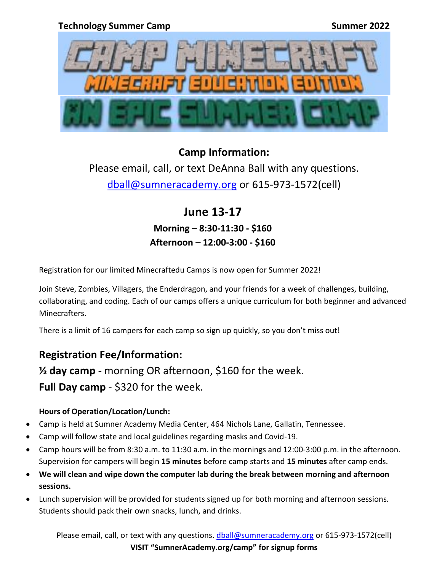

## **Camp Information:**

Please email, call, or text DeAnna Ball with any questions. [dball@sumneracademy.org](mailto:dball@sumneracademy.org) or 615-973-1572(cell)

> **June 13-17 Morning – 8:30-11:30 - \$160 Afternoon – 12:00-3:00 - \$160**

Registration for our limited Minecraftedu Camps is now open for Summer 2022!

Join Steve, Zombies, Villagers, the Enderdragon, and your friends for a week of challenges, building, collaborating, and coding. Each of our camps offers a unique curriculum for both beginner and advanced Minecrafters.

There is a limit of 16 campers for each camp so sign up quickly, so you don't miss out!

## **Registration Fee/Information:**

**½ day camp -** morning OR afternoon, \$160 for the week. **Full Day camp** - \$320 for the week.

## **Hours of Operation/Location/Lunch:**

- Camp is held at Sumner Academy Media Center, 464 Nichols Lane, Gallatin, Tennessee.
- Camp will follow state and local guidelines regarding masks and Covid-19.
- Camp hours will be from 8:30 a.m. to 11:30 a.m. in the mornings and 12:00-3:00 p.m. in the afternoon. Supervision for campers will begin **15 minutes** before camp starts and **15 minutes** after camp ends.
- **We will clean and wipe down the computer lab during the break between morning and afternoon sessions.**
- Lunch supervision will be provided for students signed up for both morning and afternoon sessions. Students should pack their own snacks, lunch, and drinks.